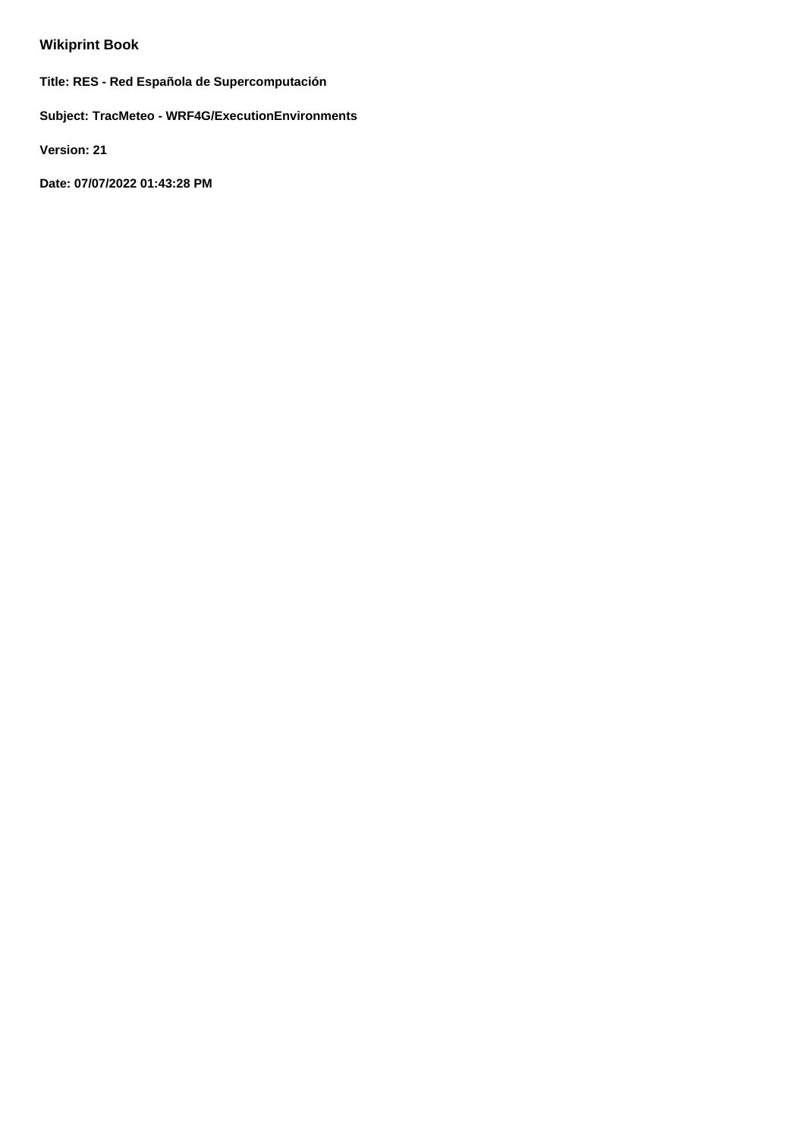# **Wikiprint Book**

**Title: RES - Red Española de Supercomputación**

**Subject: TracMeteo - WRF4G/ExecutionEnvironments**

**Version: 21**

**Date: 07/07/2022 01:43:28 PM**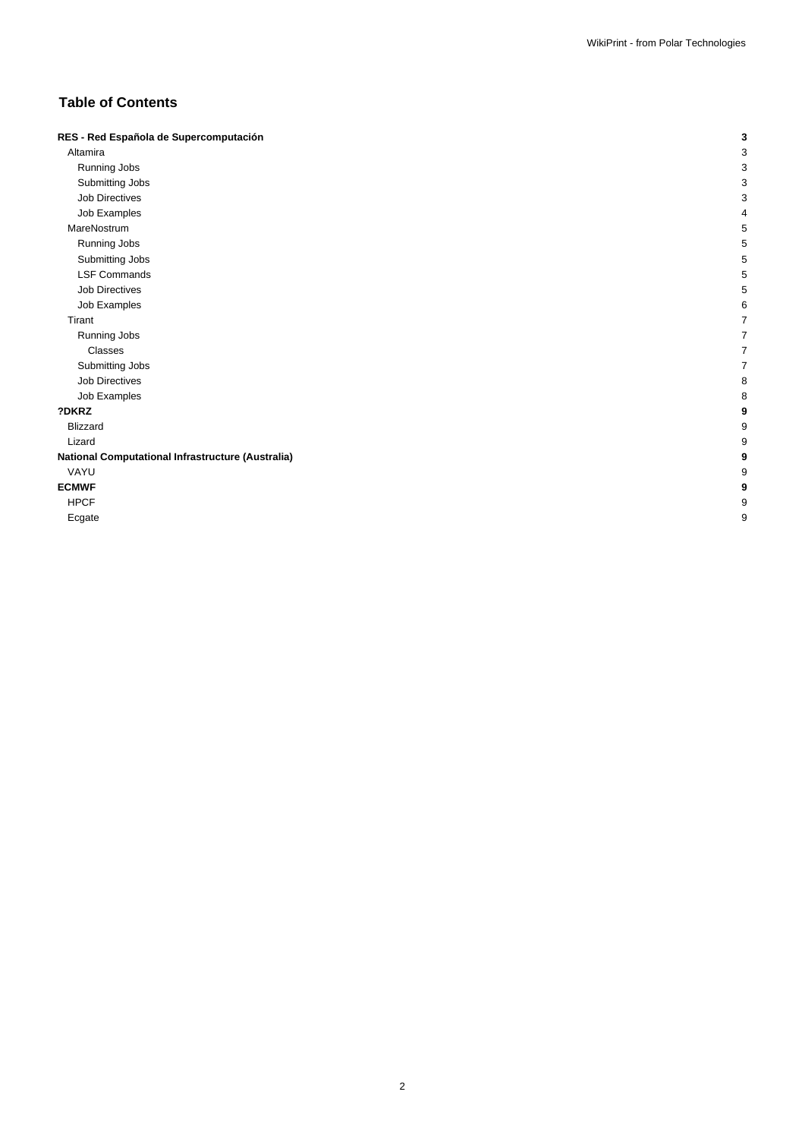# **Table of Contents**

| RES - Red Española de Supercomputación            | 3 |
|---------------------------------------------------|---|
| Altamira                                          | 3 |
| Running Jobs                                      | 3 |
| Submitting Jobs                                   | 3 |
| Job Directives                                    | 3 |
| Job Examples                                      | 4 |
| MareNostrum                                       | 5 |
| Running Jobs                                      | 5 |
| Submitting Jobs                                   | 5 |
| <b>LSF Commands</b>                               | 5 |
| <b>Job Directives</b>                             | 5 |
| Job Examples                                      | 6 |
| Tirant                                            |   |
| Running Jobs                                      |   |
| Classes                                           |   |
| Submitting Jobs                                   |   |
| Job Directives                                    | 8 |
| Job Examples                                      | 8 |
| ?DKRZ                                             | 9 |
| <b>Blizzard</b>                                   | 9 |
| Lizard                                            | 9 |
| National Computational Infrastructure (Australia) | 9 |
| VAYU                                              | 9 |
| <b>ECMWF</b>                                      | 9 |
| <b>HPCF</b>                                       | 9 |
| Ecgate                                            | 9 |
|                                                   |   |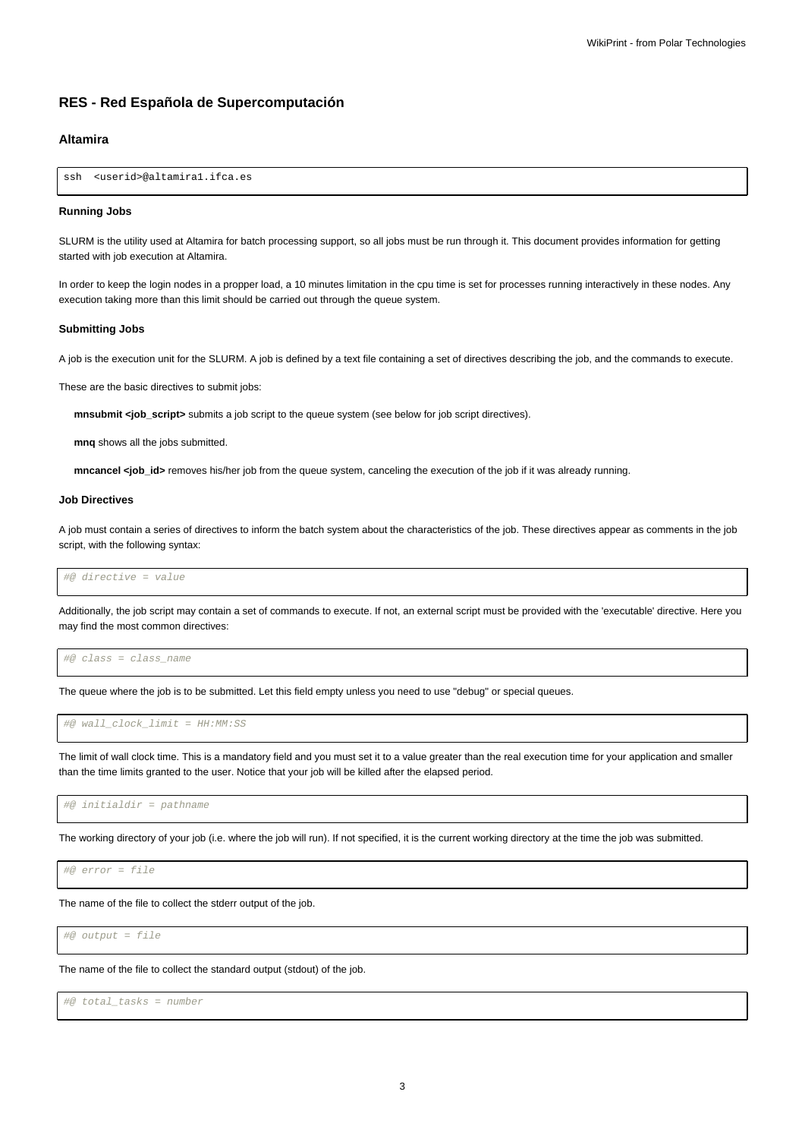# **RES - Red Española de Supercomputación**

# **Altamira**

ssh <userid>@altamira1.ifca.es

#### **Running Jobs**

SLURM is the utility used at Altamira for batch processing support, so all jobs must be run through it. This document provides information for getting started with job execution at Altamira.

In order to keep the login nodes in a propper load, a 10 minutes limitation in the cpu time is set for processes running interactively in these nodes. Any execution taking more than this limit should be carried out through the queue system.

#### **Submitting Jobs**

A job is the execution unit for the SLURM. A job is defined by a text file containing a set of directives describing the job, and the commands to execute.

These are the basic directives to submit jobs:

**mnsubmit <job\_script>** submits a job script to the queue system (see below for job script directives).

**mnq** shows all the jobs submitted.

**mncancel <job** id> removes his/her job from the queue system, canceling the execution of the job if it was already running.

#### **Job Directives**

A job must contain a series of directives to inform the batch system about the characteristics of the job. These directives appear as comments in the job script, with the following syntax:

#@ directive = value

Additionally, the job script may contain a set of commands to execute. If not, an external script must be provided with the 'executable' directive. Here you may find the most common directives:

#@ class = class\_name

The queue where the job is to be submitted. Let this field empty unless you need to use "debug" or special queues.

#@ wall\_clock\_limit = HH:MM:SS

The limit of wall clock time. This is a mandatory field and you must set it to a value greater than the real execution time for your application and smaller than the time limits granted to the user. Notice that your job will be killed after the elapsed period.

#@ initialdir = pathname

The working directory of your job (i.e. where the job will run). If not specified, it is the current working directory at the time the job was submitted.

#@ error = file

The name of the file to collect the stderr output of the job.

#@ output = file

The name of the file to collect the standard output (stdout) of the job.

#@ total\_tasks = number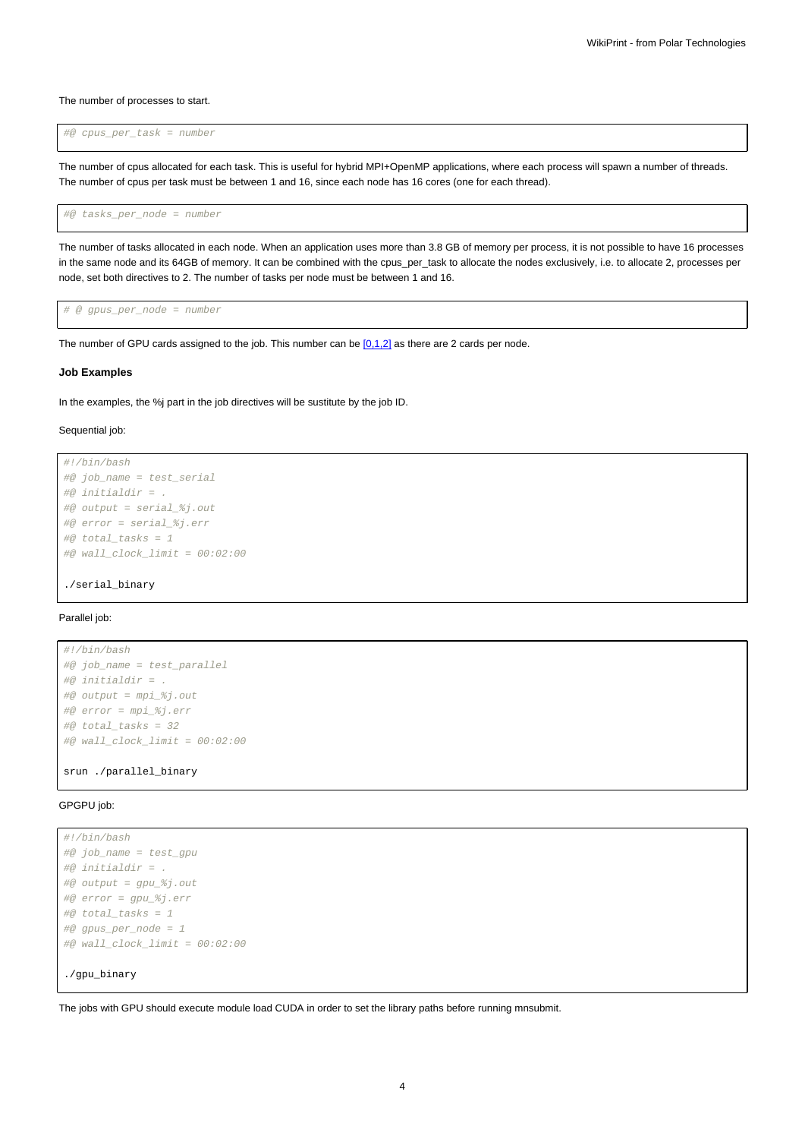The number of processes to start.

#@ cpus\_per\_task = number

The number of cpus allocated for each task. This is useful for hybrid MPI+OpenMP applications, where each process will spawn a number of threads. The number of cpus per task must be between 1 and 16, since each node has 16 cores (one for each thread).

#@ tasks\_per\_node = number

The number of tasks allocated in each node. When an application uses more than 3.8 GB of memory per process, it is not possible to have 16 processes in the same node and its 64GB of memory. It can be combined with the cpus per task to allocate the nodes exclusively, i.e. to allocate 2, processes per node, set both directives to 2. The number of tasks per node must be between 1 and 16.

# @ gpus\_per\_node = number

The number of GPU cards assigned to the job. This number can be  $[0,1,2]$  as there are 2 cards per node.

#### **Job Examples**

In the examples, the %j part in the job directives will be sustitute by the job ID.

#### Sequential job:

```
#!/bin/bash
#@ job_name = test_serial
#@ initialdir = .
#@ output = serial_%j.out
#@ error = serial_%j.err
#@ total_tasks = 1
#@ wall_clock_limit = 00:02:00
```
./serial\_binary

#### Parallel job:

```
#!/bin/bash
#@ job_name = test_parallel
#@ initialdir = .
#@ output = mpi_%j.out
#@ error = mpi_%j.err
\#@ total tasks = 32
#@ wall clock limit = 00:02:00
```
srun ./parallel\_binary

## GPGPU job:

```
#!/bin/bash
#@ job_name = test_gpu
#@ initialdir = .
#@ output = gpu_%j.out
#@ error = gpu_%j.err
#@ total_tasks = 1
#@ gpus_per_node = 1
#@ wall_clock_limit = 00:02:00
./gpu_binary
```
The jobs with GPU should execute module load CUDA in order to set the library paths before running mnsubmit.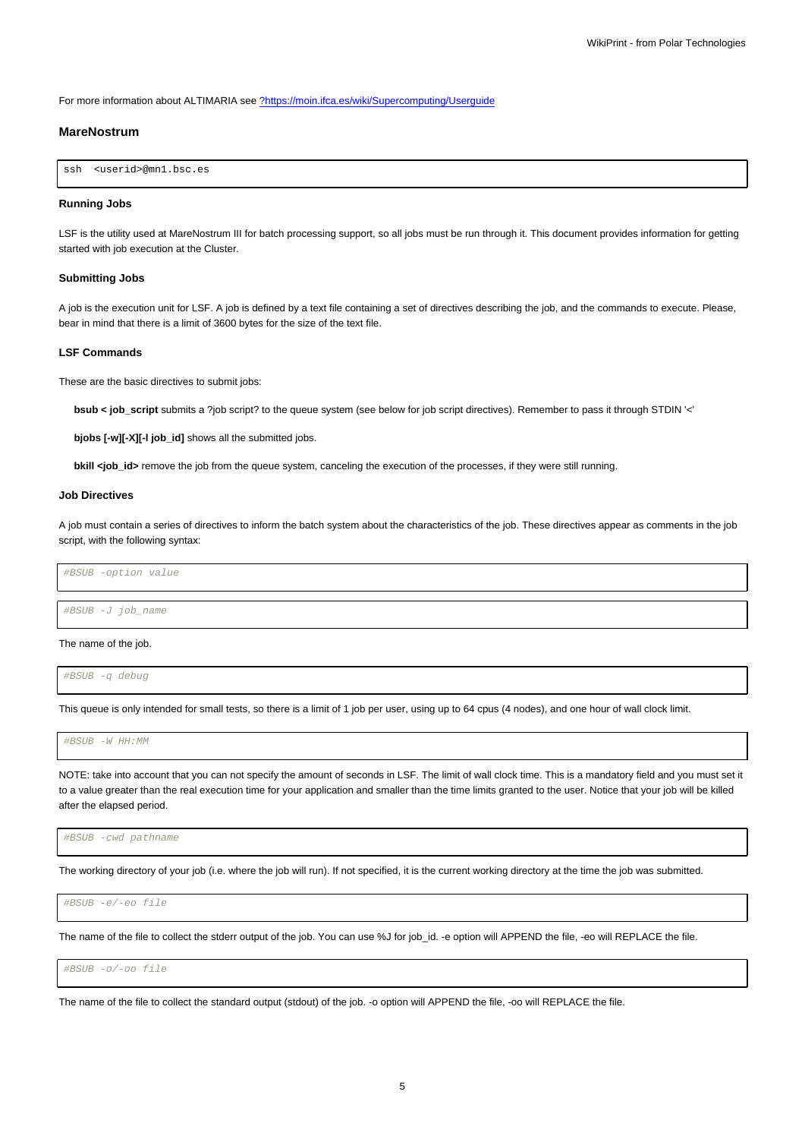For more information about ALTIMARIA see [?https://moin.ifca.es/wiki/Supercomputing/Userguide](https://moin.ifca.es/wiki/Supercomputing/Userguide)

### **MareNostrum**

```
ssh <userid>@mn1.bsc.es
```
#### **Running Jobs**

LSF is the utility used at MareNostrum III for batch processing support, so all jobs must be run through it. This document provides information for getting started with job execution at the Cluster.

### **Submitting Jobs**

A job is the execution unit for LSF. A job is defined by a text file containing a set of directives describing the job, and the commands to execute. Please, bear in mind that there is a limit of 3600 bytes for the size of the text file.

#### **LSF Commands**

These are the basic directives to submit jobs:

**bsub < job\_script** submits a ?job script? to the queue system (see below for job script directives). Remember to pass it through STDIN '<'

**bjobs [-w][-X][-l job\_id]** shows all the submitted jobs.

**bkill <job\_id>** remove the job from the queue system, canceling the execution of the processes, if they were still running.

# **Job Directives**

A job must contain a series of directives to inform the batch system about the characteristics of the job. These directives appear as comments in the job script, with the following syntax:

#BSUB -option value

#BSUB -J job\_name

#### The name of the job.

#BSUB -q debug

This queue is only intended for small tests, so there is a limit of 1 job per user, using up to 64 cpus (4 nodes), and one hour of wall clock limit.

#BSUB -W HH:MM

NOTE: take into account that you can not specify the amount of seconds in LSF. The limit of wall clock time. This is a mandatory field and you must set it to a value greater than the real execution time for your application and smaller than the time limits granted to the user. Notice that your job will be killed after the elapsed period.

#BSUB -cwd pathname

The working directory of your job (i.e. where the job will run). If not specified, it is the current working directory at the time the job was submitted.

#BSUB -e/-eo file

The name of the file to collect the stderr output of the job. You can use %J for job\_id. -e option will APPEND the file, -eo will REPLACE the file.

#BSUB -o/-oo file

The name of the file to collect the standard output (stdout) of the job. -o option will APPEND the file, -oo will REPLACE the file.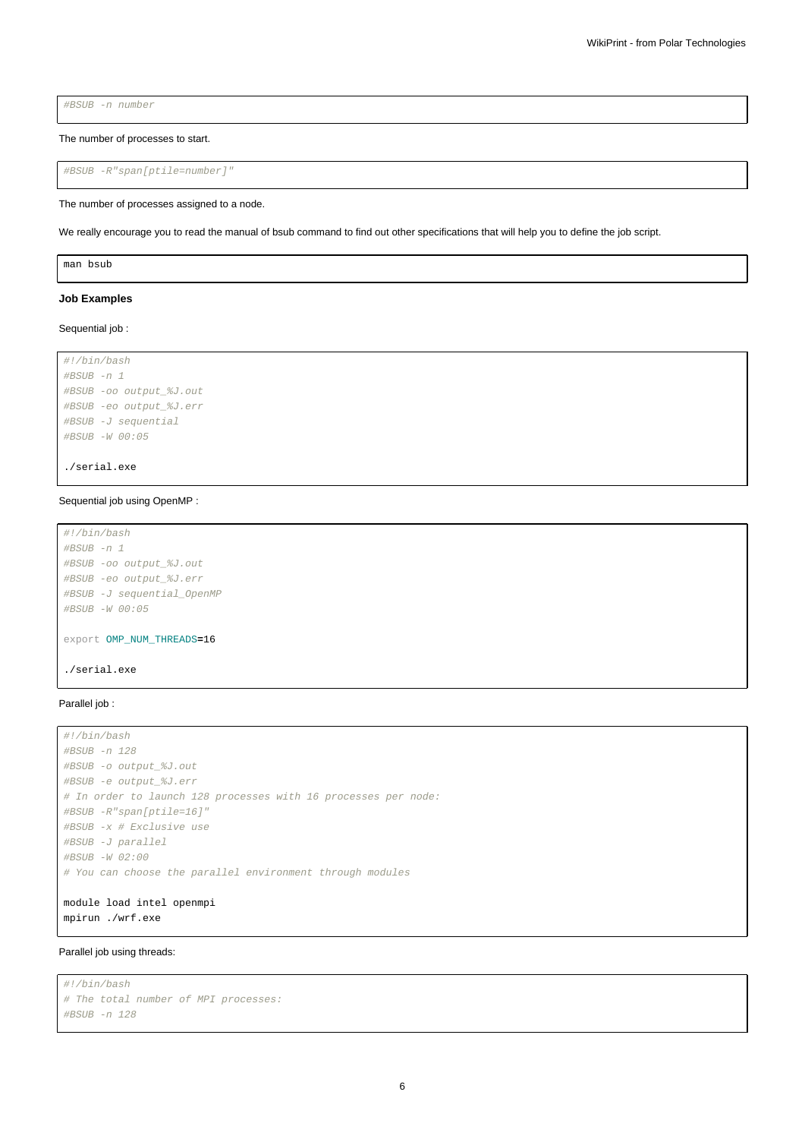#BSUB -n number

The number of processes to start.

```
#BSUB -R"span[ptile=number]"
```
#### The number of processes assigned to a node.

We really encourage you to read the manual of bsub command to find out other specifications that will help you to define the job script.

man bsub

#### **Job Examples**

#### Sequential job :

```
#!/bin/bash
#BSUB -n 1
#BSUB -oo output_%J.out
#BSUB -eo output_%J.err
#BSUB -J sequential
#BSUB -W 00:05
```
./serial.exe

#### Sequential job using OpenMP :

```
#!/bin/bash
#BSUB -n 1
#BSUB -oo output_%J.out
#BSUB -eo output_%J.err
#BSUB -J sequential_OpenMP
#BSUB -W 00:05
export OMP_NUM_THREADS=16
./serial.exe
```
# Parallel job :

```
#!/bin/bash
#BSUB -n 128
#BSUB -o output_%J.out
#BSUB -e output_%J.err
# In order to launch 128 processes with 16 processes per node:
#BSUB -R"span[ptile=16]"
#BSUB -x # Exclusive use
#BSUB -J parallel
#BSUB -W 02:00
# You can choose the parallel environment through modules
module load intel openmpi
```
mpirun ./wrf.exe

#### Parallel job using threads:

```
#!/bin/bash
# The total number of MPI processes:
#BSUB -n 128
```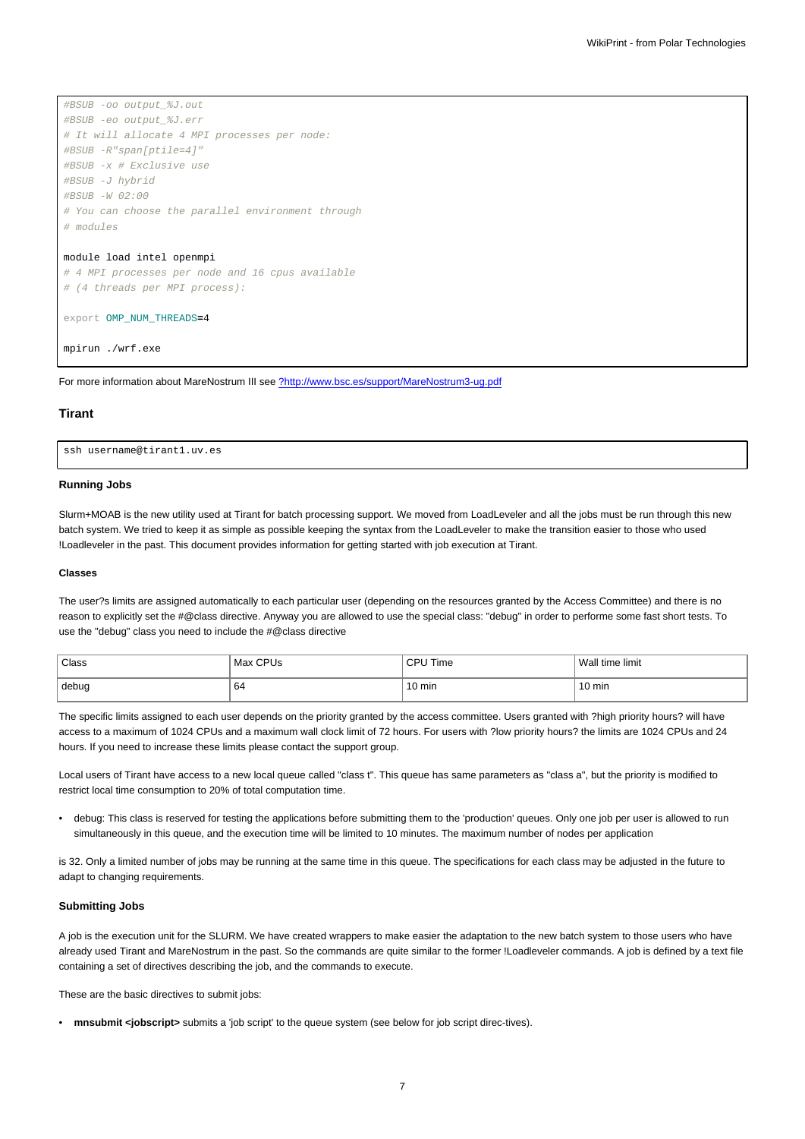```
#BSUB -oo output_%J.out
#BSUB -eo output_%J.err
# It will allocate 4 MPI processes per node:
#BSUB -R"span[ptile=4]"
#BSUB -x # Exclusive use
#BSUB -J hybrid
#BSUB -W 02:00
# You can choose the parallel environment through
# modules
module load intel openmpi
```
# 4 MPI processes per node and 16 cpus available # (4 threads per MPI process):

```
export OMP_NUM_THREADS=4
```
mpirun ./wrf.exe

For more information about MareNostrum III see [?http://www.bsc.es/support/MareNostrum3-ug.pdf](http://www.bsc.es/support/MareNostrum3-ug.pdf)

#### **Tirant**

ssh username@tirant1.uv.es

#### **Running Jobs**

Slurm+MOAB is the new utility used at Tirant for batch processing support. We moved from LoadLeveler and all the jobs must be run through this new batch system. We tried to keep it as simple as possible keeping the syntax from the LoadLeveler to make the transition easier to those who used !Loadleveler in the past. This document provides information for getting started with job execution at Tirant.

#### **Classes**

The user?s limits are assigned automatically to each particular user (depending on the resources granted by the Access Committee) and there is no reason to explicitly set the #@class directive. Anyway you are allowed to use the special class: "debug" in order to performe some fast short tests. To use the "debug" class you need to include the #@class directive

| Class | Max CPUs | ਂ  ΩPU Time      | Wall time limit |
|-------|----------|------------------|-----------------|
| debug | 64       | $10 \text{ min}$ | 10 min          |

The specific limits assigned to each user depends on the priority granted by the access committee. Users granted with ?high priority hours? will have access to a maximum of 1024 CPUs and a maximum wall clock limit of 72 hours. For users with ?low priority hours? the limits are 1024 CPUs and 24 hours. If you need to increase these limits please contact the support group.

Local users of Tirant have access to a new local queue called "class t". This queue has same parameters as "class a", but the priority is modified to restrict local time consumption to 20% of total computation time.

• debug: This class is reserved for testing the applications before submitting them to the 'production' queues. Only one job per user is allowed to run simultaneously in this queue, and the execution time will be limited to 10 minutes. The maximum number of nodes per application

is 32. Only a limited number of jobs may be running at the same time in this queue. The specifications for each class may be adjusted in the future to adapt to changing requirements.

#### **Submitting Jobs**

A job is the execution unit for the SLURM. We have created wrappers to make easier the adaptation to the new batch system to those users who have already used Tirant and MareNostrum in the past. So the commands are quite similar to the former !Loadleveler commands. A job is defined by a text file containing a set of directives describing the job, and the commands to execute.

These are the basic directives to submit jobs:

• **mnsubmit <jobscript>** submits a 'job script' to the queue system (see below for job script direc-tives).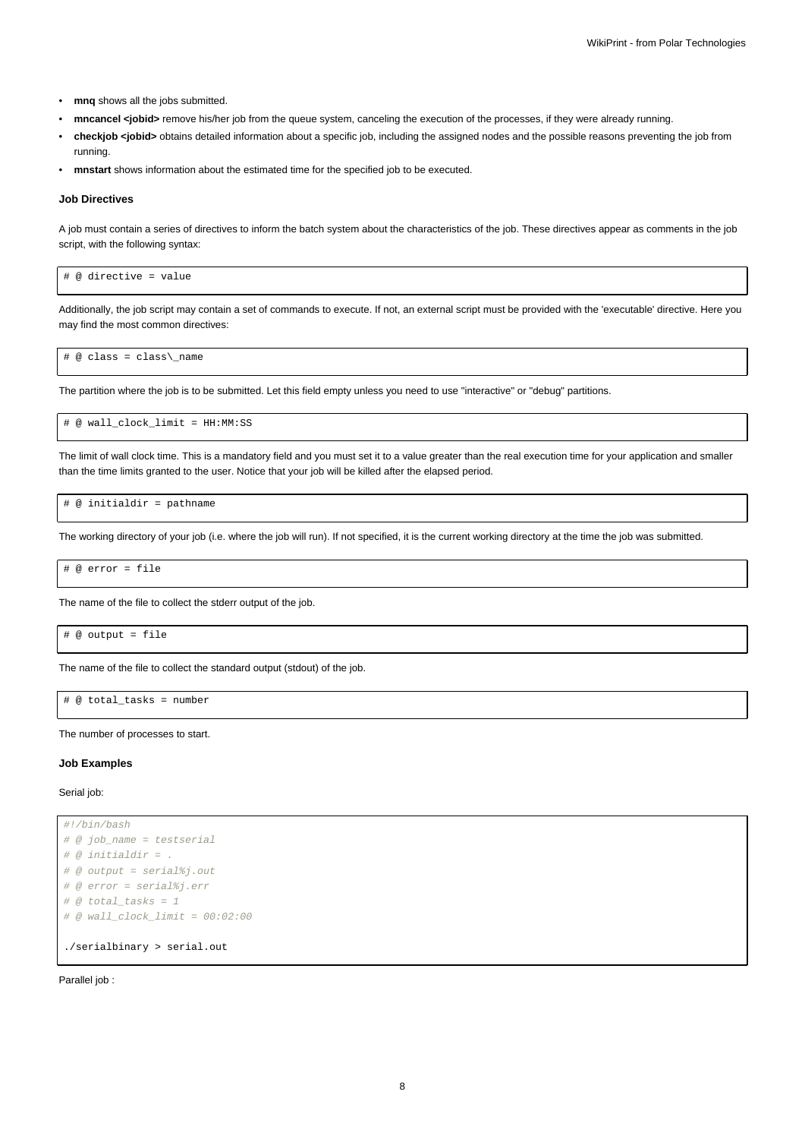- **mnq** shows all the jobs submitted.
- **mncancel <jobid>** remove his/her job from the queue system, canceling the execution of the processes, if they were already running.
- **checkjob <jobid>** obtains detailed information about a specific job, including the assigned nodes and the possible reasons preventing the job from running.
- **mnstart** shows information about the estimated time for the specified job to be executed.

#### **Job Directives**

A job must contain a series of directives to inform the batch system about the characteristics of the job. These directives appear as comments in the job script, with the following syntax:

# @ directive = value

Additionally, the job script may contain a set of commands to execute. If not, an external script must be provided with the 'executable' directive. Here you may find the most common directives:

# @ class = class\\_name

The partition where the job is to be submitted. Let this field empty unless you need to use "interactive" or "debug" partitions.

# @ wall\_clock\_limit = HH:MM:SS

The limit of wall clock time. This is a mandatory field and you must set it to a value greater than the real execution time for your application and smaller than the time limits granted to the user. Notice that your job will be killed after the elapsed period.

# @ initialdir = pathname

The working directory of your job (i.e. where the job will run). If not specified, it is the current working directory at the time the job was submitted.

# @ error = file

The name of the file to collect the stderr output of the job.

```
# @ output = file
```
The name of the file to collect the standard output (stdout) of the job.

# @ total\_tasks = number

The number of processes to start.

#### **Job Examples**

Serial job:

```
#!/bin/bash
# @ job_name = testserial
# @ initial dir = .# @ output = serial%j.out
# @ error = serial%j.err
# @ total tasks = 1\# @ wall_clock_limit = 00:02:00
./serialbinary > serial.out
```
Parallel job :